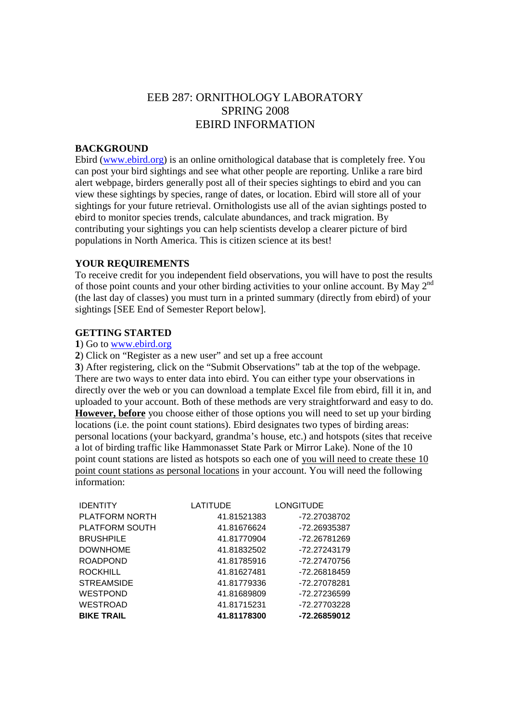# EEB 287: ORNITHOLOGY LABORATORY SPRING 2008 EBIRD INFORMATION

## **BACKGROUND**

Ebird (www.ebird.org) is an online ornithological database that is completely free. You can post your bird sightings and see what other people are reporting. Unlike a rare bird alert webpage, birders generally post all of their species sightings to ebird and you can view these sightings by species, range of dates, or location. Ebird will store all of your sightings for your future retrieval. Ornithologists use all of the avian sightings posted to ebird to monitor species trends, calculate abundances, and track migration. By contributing your sightings you can help scientists develop a clearer picture of bird populations in North America. This is citizen science at its best!

### **YOUR REQUIREMENTS**

To receive credit for you independent field observations, you will have to post the results of those point counts and your other birding activities to your online account. By May 2nd (the last day of classes) you must turn in a printed summary (directly from ebird) of your sightings [SEE End of Semester Report below].

#### **GETTING STARTED**

## **1**) Go to www.ebird.org

**2**) Click on "Register as a new user" and set up a free account

**3**) After registering, click on the "Submit Observations" tab at the top of the webpage. There are two ways to enter data into ebird. You can either type your observations in directly over the web or you can download a template Excel file from ebird, fill it in, and uploaded to your account. Both of these methods are very straightforward and easy to do. **However, before** you choose either of those options you will need to set up your birding locations (i.e. the point count stations). Ebird designates two types of birding areas: personal locations (your backyard, grandma's house, etc.) and hotspots (sites that receive a lot of birding traffic like Hammonasset State Park or Mirror Lake). None of the 10 point count stations are listed as hotspots so each one of you will need to create these 10 point count stations as personal locations in your account. You will need the following information:

| <b>IDENTITY</b>       | LATITUDE    | <b>LONGITUDE</b> |
|-----------------------|-------------|------------------|
| <b>PLATFORM NORTH</b> | 41.81521383 | -72.27038702     |
| PLATFORM SOUTH        | 41.81676624 | -72.26935387     |
| <b>BRUSHPILE</b>      | 41.81770904 | -72.26781269     |
| <b>DOWNHOME</b>       | 41.81832502 | -72.27243179     |
| <b>ROADPOND</b>       | 41.81785916 | -72.27470756     |
| <b>ROCKHILL</b>       | 41.81627481 | -72.26818459     |
| <b>STREAMSIDE</b>     | 41.81779336 | -72.27078281     |
| <b>WESTPOND</b>       | 41.81689809 | -72.27236599     |
| <b>WESTROAD</b>       | 41.81715231 | -72.27703228     |
| <b>BIKE TRAIL</b>     | 41.81178300 | -72.26859012     |